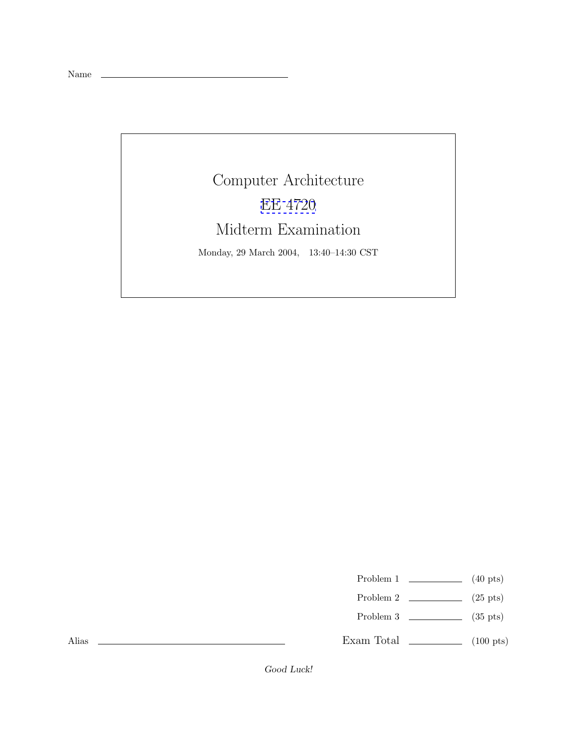Name

## Computer Architecture [EE 4720](http://www.ece.lsu.edu/ee4720/) Midterm Examination

Monday, 29 March 2004, 13:40–14:30 CST

- Problem 1  $\qquad \qquad$  (40 pts)
- Problem 2  $\qquad \qquad$  (25 pts)
- Problem 3  $\qquad \qquad$  (35 pts)
- Exam Total  $\qquad \qquad$  (100 pts)

Alias

Good Luck!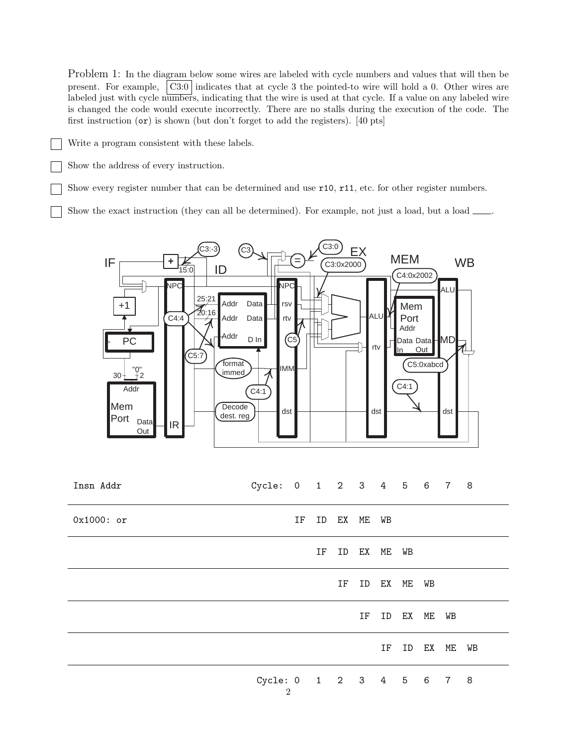Problem 1: In the diagram below some wires are labeled with cycle numbers and values that will then be present. For example, C3:0 indicates that at cycle 3 the pointed-to wire will hold a 0. Other wires are labeled just with cycle numbers, indicating that the wire is used at that cycle. If a value on any labeled wire is changed the code would execute incorrectly. There are no stalls during the execution of the code. The first instruction (or) is shown (but don't forget to add the registers). [40 pts]

- Write a program consistent with these labels.
	- Show the address of every instruction.

Show every register number that can be determined and use r10, r11, etc. for other register numbers.

Show the exact instruction (they can all be determined). For example, not just a load, but a load  $\Box$ 



| Insn Addr    | Cycle: 0 1 2 3 4 5 6 7 8 |                |    |          |             |          |          |          |    |    |
|--------------|--------------------------|----------------|----|----------|-------------|----------|----------|----------|----|----|
| $0x1000:$ or |                          | IF             |    | ID EX ME |             | WB       |          |          |    |    |
|              |                          |                | IF |          | ID EX ME WB |          |          |          |    |    |
|              |                          |                |    | ΙF       |             | ID EX ME |          | WB       |    |    |
|              |                          |                |    |          | IF          |          | ID EX ME |          | WB |    |
|              |                          |                |    |          |             | IF       |          | ID EX ME |    | WВ |
|              | Cycle: 0 1 2 3 4 5 6 7 8 | $\overline{2}$ |    |          |             |          |          |          |    |    |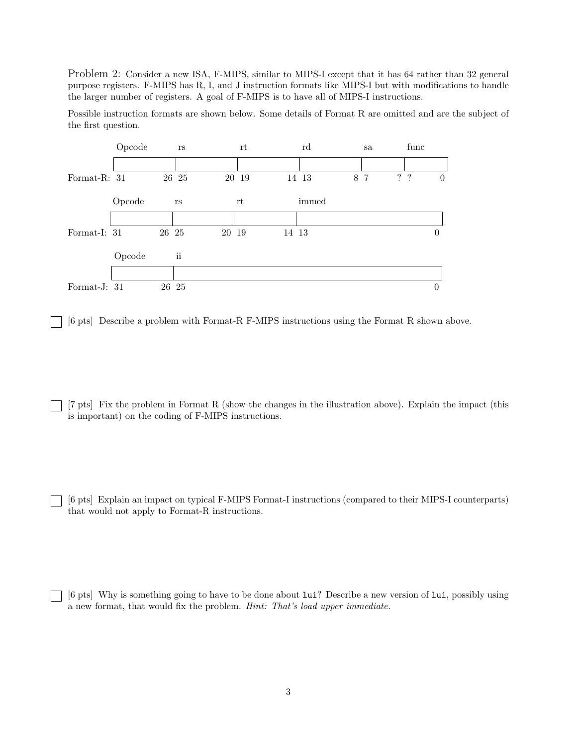Problem 2: Consider a new ISA, F-MIPS, similar to MIPS-I except that it has 64 rather than 32 general purpose registers. F-MIPS has R, I, and J instruction formats like MIPS-I but with modifications to handle the larger number of registers. A goal of F-MIPS is to have all of MIPS-I instructions.

Possible instruction formats are shown below. Some details of Format R are omitted and are the subject of the first question.



[6 pts] Describe a problem with Format-R F-MIPS instructions using the Format R shown above.

[7 pts] Fix the problem in Format R (show the changes in the illustration above). Explain the impact (this is important) on the coding of F-MIPS instructions.

[6 pts] Explain an impact on typical F-MIPS Format-I instructions (compared to their MIPS-I counterparts) that would not apply to Format-R instructions.

[6 pts] Why is something going to have to be done about lui? Describe a new version of lui, possibly using a new format, that would fix the problem. *Hint: That's load upper immediate.*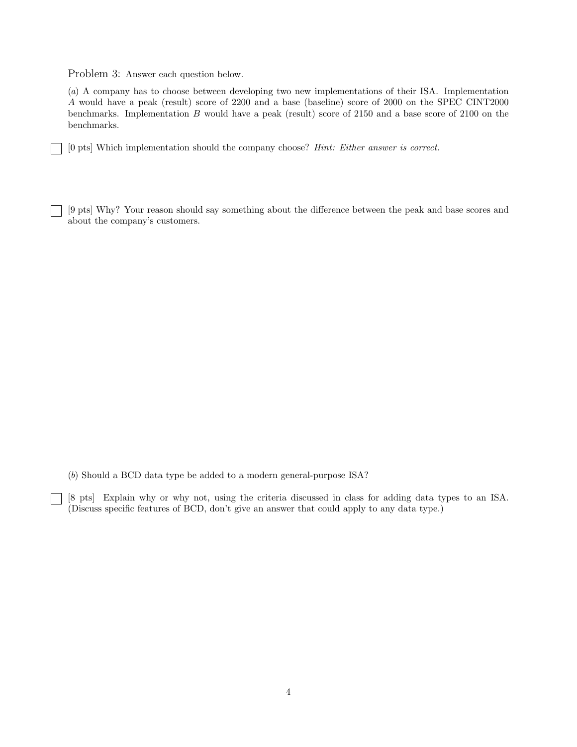Problem 3: Answer each question below.

 $\mathbf{L}$ 

(*a*) A company has to choose between developing two new implementations of their ISA. Implementation A would have a peak (result) score of 2200 and a base (baseline) score of 2000 on the SPEC CINT2000 benchmarks. Implementation B would have a peak (result) score of 2150 and a base score of 2100 on the benchmarks.

[0 pts] Which implementation should the company choose? *Hint: Either answer is correct.*

[9 pts] Why? Your reason should say something about the difference between the peak and base scores and about the company's customers.

(*b*) Should a BCD data type be added to a modern general-purpose ISA?

[8 pts] Explain why or why not, using the criteria discussed in class for adding data types to an ISA. (Discuss specific features of BCD, don't give an answer that could apply to any data type.)